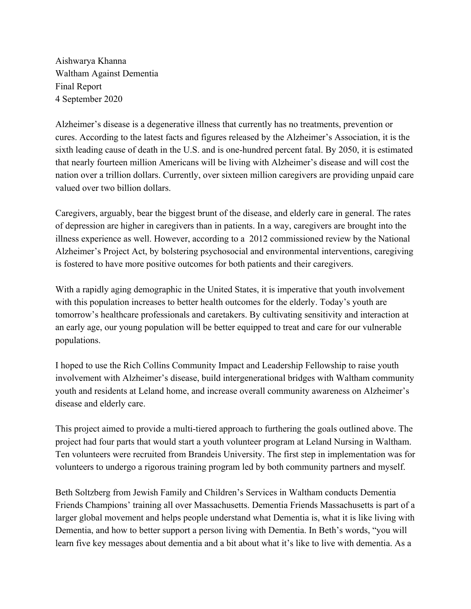Aishwarya Khanna Waltham Against Dementia Final Report 4 September 2020

Alzheimer's disease is a degenerative illness that currently has no treatments, prevention or cures. According to the latest facts and figures released by the Alzheimer's Association, it is the sixth leading cause of death in the U.S. and is one-hundred percent fatal. By 2050, it is estimated that nearly fourteen million Americans will be living with Alzheimer's disease and will cost the nation over a trillion dollars. Currently, over sixteen million caregivers are providing unpaid care valued over two billion dollars.

Caregivers, arguably, bear the biggest brunt of the disease, and elderly care in general. The rates of depression are higher in caregivers than in patients. In a way, caregivers are brought into the illness experience as well. However, according to a 2012 commissioned review by the National Alzheimer's Project Act, by bolstering psychosocial and environmental interventions, caregiving is fostered to have more positive outcomes for both patients and their caregivers.

With a rapidly aging demographic in the United States, it is imperative that youth involvement with this population increases to better health outcomes for the elderly. Today's youth are tomorrow's healthcare professionals and caretakers. By cultivating sensitivity and interaction at an early age, our young population will be better equipped to treat and care for our vulnerable populations.

I hoped to use the Rich Collins Community Impact and Leadership Fellowship to raise youth involvement with Alzheimer's disease, build intergenerational bridges with Waltham community youth and residents at Leland home, and increase overall community awareness on Alzheimer's disease and elderly care.

This project aimed to provide a multi-tiered approach to furthering the goals outlined above. The project had four parts that would start a youth volunteer program at Leland Nursing in Waltham. Ten volunteers were recruited from Brandeis University. The first step in implementation was for volunteers to undergo a rigorous training program led by both community partners and myself.

Beth Soltzberg from Jewish Family and Children's Services in Waltham conducts Dementia Friends Champions' training all over Massachusetts. Dementia Friends Massachusetts is part of a larger global movement and helps people understand what Dementia is, what it is like living with Dementia, and how to better support a person living with Dementia. In Beth's words, "you will learn five key messages about dementia and a bit about what it's like to live with dementia. As a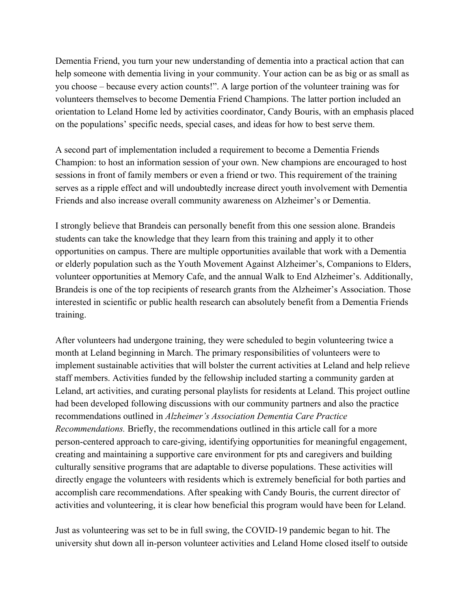Dementia Friend, you turn your new understanding of dementia into a practical action that can help someone with dementia living in your community. Your action can be as big or as small as you choose – because every action counts!". A large portion of the volunteer training was for volunteers themselves to become Dementia Friend Champions. The latter portion included an orientation to Leland Home led by activities coordinator, Candy Bouris, with an emphasis placed on the populations' specific needs, special cases, and ideas for how to best serve them.

A second part of implementation included a requirement to become a Dementia Friends Champion: to host an information session of your own. New champions are encouraged to host sessions in front of family members or even a friend or two. This requirement of the training serves as a ripple effect and will undoubtedly increase direct youth involvement with Dementia Friends and also increase overall community awareness on Alzheimer's or Dementia.

I strongly believe that Brandeis can personally benefit from this one session alone. Brandeis students can take the knowledge that they learn from this training and apply it to other opportunities on campus. There are multiple opportunities available that work with a Dementia or elderly population such as the Youth Movement Against Alzheimer's, Companions to Elders, volunteer opportunities at Memory Cafe, and the annual Walk to End Alzheimer's. Additionally, Brandeis is one of the top recipients of research grants from the Alzheimer's Association. Those interested in scientific or public health research can absolutely benefit from a Dementia Friends training.

After volunteers had undergone training, they were scheduled to begin volunteering twice a month at Leland beginning in March. The primary responsibilities of volunteers were to implement sustainable activities that will bolster the current activities at Leland and help relieve staff members. Activities funded by the fellowship included starting a community garden at Leland, art activities, and curating personal playlists for residents at Leland. This project outline had been developed following discussions with our community partners and also the practice recommendations outlined in *Alzheimer's Association Dementia Care Practice Recommendations.* Briefly, the recommendations outlined in this article call for a more person-centered approach to care-giving, identifying opportunities for meaningful engagement, creating and maintaining a supportive care environment for pts and caregivers and building culturally sensitive programs that are adaptable to diverse populations. These activities will directly engage the volunteers with residents which is extremely beneficial for both parties and accomplish care recommendations. After speaking with Candy Bouris, the current director of activities and volunteering, it is clear how beneficial this program would have been for Leland.

Just as volunteering was set to be in full swing, the COVID-19 pandemic began to hit. The university shut down all in-person volunteer activities and Leland Home closed itself to outside